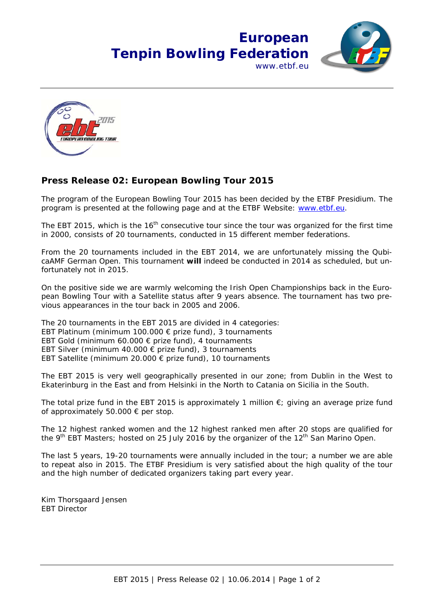## **European Tenpin Bowling Federation** www.ethf.eu





## **Press Release 02: European Bowling Tour 2015**

The program of the European Bowling Tour 2015 has been decided by the ETBF Presidium. The program is presented at the following page and at the ETBF Website: www.etbf.eu.

The EBT 2015, which is the  $16<sup>th</sup>$  consecutive tour since the tour was organized for the first time in 2000, consists of 20 tournaments, conducted in 15 different member federations.

From the 20 tournaments included in the EBT 2014, we are unfortunately missing the QubicaAMF German Open. This tournament **will** indeed be conducted in 2014 as scheduled, but unfortunately not in 2015.

On the positive side we are warmly welcoming the Irish Open Championships back in the European Bowling Tour with a Satellite status after 9 years absence. The tournament has two previous appearances in the tour back in 2005 and 2006.

The 20 tournaments in the EBT 2015 are divided in 4 categories:

EBT Platinum (minimum 100.000 € prize fund), 3 tournaments

EBT Gold (minimum 60.000  $\epsilon$  prize fund), 4 tournaments

EBT Silver (minimum 40.000  $\epsilon$  prize fund), 3 tournaments

EBT Satellite (minimum 20.000 € prize fund), 10 tournaments

The EBT 2015 is very well geographically presented in our zone; from Dublin in the West to Ekaterinburg in the East and from Helsinki in the North to Catania on Sicilia in the South.

The total prize fund in the EBT 2015 is approximately 1 million  $\epsilon$ ; giving an average prize fund of approximately 50.000 € per stop.

The 12 highest ranked women and the 12 highest ranked men after 20 stops are qualified for the 9<sup>th</sup> EBT Masters; hosted on 25 July 2016 by the organizer of the 12<sup>th</sup> San Marino Open.

The last 5 years, 19-20 tournaments were annually included in the tour; a number we are able to repeat also in 2015. The ETBF Presidium is very satisfied about the high quality of the tour and the high number of dedicated organizers taking part every year.

Kim Thorsgaard Jensen EBT Director